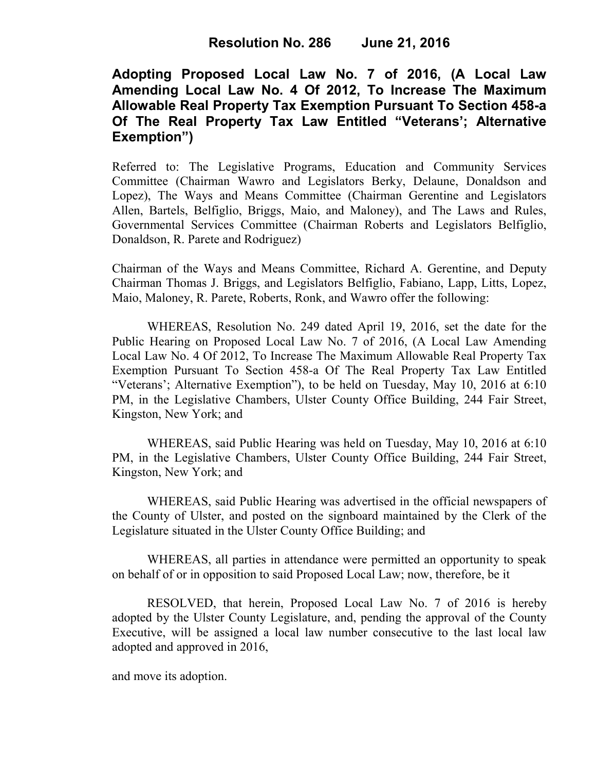## **Adopting Proposed Local Law No. 7 of 2016, (A Local Law Amending Local Law No. 4 Of 2012, To Increase The Maximum Allowable Real Property Tax Exemption Pursuant To Section 458-a Of The Real Property Tax Law Entitled "Veterans'; Alternative Exemption")**

Referred to: The Legislative Programs, Education and Community Services Committee (Chairman Wawro and Legislators Berky, Delaune, Donaldson and Lopez), The Ways and Means Committee (Chairman Gerentine and Legislators Allen, Bartels, Belfiglio, Briggs, Maio, and Maloney), and The Laws and Rules, Governmental Services Committee (Chairman Roberts and Legislators Belfiglio, Donaldson, R. Parete and Rodriguez)

Chairman of the Ways and Means Committee, Richard A. Gerentine, and Deputy Chairman Thomas J. Briggs, and Legislators Belfiglio, Fabiano, Lapp, Litts, Lopez, Maio, Maloney, R. Parete, Roberts, Ronk, and Wawro offer the following:

WHEREAS, Resolution No. 249 dated April 19, 2016, set the date for the Public Hearing on Proposed Local Law No. 7 of 2016, (A Local Law Amending Local Law No. 4 Of 2012, To Increase The Maximum Allowable Real Property Tax Exemption Pursuant To Section 458-a Of The Real Property Tax Law Entitled "Veterans'; Alternative Exemption"), to be held on Tuesday, May 10, 2016 at 6:10 PM, in the Legislative Chambers, Ulster County Office Building, 244 Fair Street, Kingston, New York; and

WHEREAS, said Public Hearing was held on Tuesday, May 10, 2016 at 6:10 PM, in the Legislative Chambers, Ulster County Office Building, 244 Fair Street, Kingston, New York; and

WHEREAS, said Public Hearing was advertised in the official newspapers of the County of Ulster, and posted on the signboard maintained by the Clerk of the Legislature situated in the Ulster County Office Building; and

 WHEREAS, all parties in attendance were permitted an opportunity to speak on behalf of or in opposition to said Proposed Local Law; now, therefore, be it

RESOLVED, that herein, Proposed Local Law No. 7 of 2016 is hereby adopted by the Ulster County Legislature, and, pending the approval of the County Executive, will be assigned a local law number consecutive to the last local law adopted and approved in 2016,

and move its adoption.